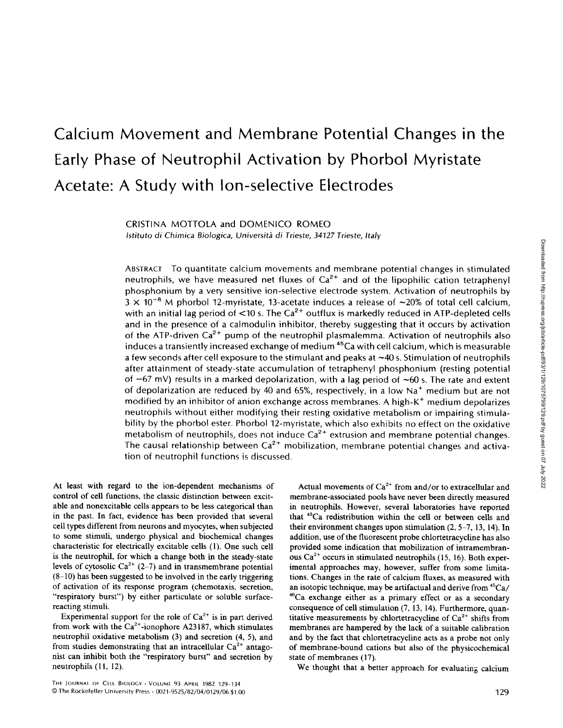# Calcium Movement and Membrane Potential Changes in the Early Phase of Neutrophil Activation by Phorbol Myristate Acetate: A Study with Ion-selective Electrodes

CRISTINA MOTTOLA and DOMENICO ROMEO Istituto di Chimica Biologica, Università di Trieste, 34127 Trieste, Italy

ABSTRACT To quantitate calcium movements and membrane potential changes in stimulated neutrophils, we have measured net fluxes of  $Ca<sup>2+</sup>$  and of the lipophilic cation tetraphenyl phosphonium by a very sensitive ion-selective electrode system. Activation of neutrophils by  $3 \times 10^{-8}$  M phorbol 12-myristate, 13-acetate induces a release of  $\sim$ 20% of total cell calcium, with an initial lag period of  $\langle 10 \rangle$  s. The Ca<sup>2+</sup> outflux is markedly reduced in ATP-depleted cells and in the presence of a calmodulin inhibitor, thereby suggesting that it occurs by activation of the ATP-driven  $Ca^{2+}$  pump of the neutrophil plasmalemma. Activation of neutrophils also induces a transiently increased exchange of medium  $45$ Ca with cell calcium, which is measurable a few seconds after cell exposure to the stimulant and peaks at  $\sim$  40 s. Stimulation of neutrophils after attainment of steady-state accumulation of tetraphenyl phosphonium (resting potential of  $-67$  mV) results in a marked depolarization, with a lag period of  $\sim 60$  s. The rate and extent of depolarization are reduced by 40 and 65%, respectively, in a low Na' medium but are not modified by an inhibitor of anion exchange across membranes. A high-K<sup>+</sup> medium depolarizes neutrophils without either modifying their resting oxidative metabolism or impairing stimulability by the phorbol ester. Phorbol 12-myristate, which also exhibits no effect on the oxidative metabolism of neutrophils, does not induce  $Ca^{2+}$  extrusion and membrane potential changes. The causal relationship between  $Ca^{2+}$  mobilization, membrane potential changes and activation of neutrophil functions is discussed .

At least with regard to the ion-dependent mechanisms of control of cell functions, the classic distinction between excitable and nonexcitable cells appears to be less categorical than in the past. In fact, evidence has been provided that several cell types different from neurons and myocytes, when subjected to some stimuli, undergo physical and biochemical changes characteristic for electrically excitable cells (1) . One such cell is the neutrophil, for which a change both in the steady-state levels of cytosolic  $Ca^{2+}(2-7)$  and in transmembrane potential (8-10) has been suggested to be involved in the early triggering of activation of its response program (chemotaxis, secretion, "respiratory burst") by either particulate or soluble surfacereacting stimuli.

Experimental support for the role of  $Ca^{2+}$  is in part derived from work with the  $Ca^{2+}$ -ionophore A23187, which stimulates neutrophil oxidative metabolism (3) and secretion (4, 5), and from studies demonstrating that an intracellular  $Ca^{2+}$  antagonist can inhibit both the "respiratory burst" and secretion by neutrophils (11, 12).

Actual movements of  $Ca^{2+}$  from and/or to extracellular and membrane-associated pools have never been directly measured in neutrophils. However, several laboratories have reported that <sup>45</sup>Ca redistribution within the cell or between cells and their environment changes upon stimulation  $(2, 5-7, 13, 14)$ . In addition, use of the fluorescent probe chlortetracycline has also provided some indication that mobilization of intramembranous  $Ca^{2+}$  occurs in stimulated neutrophils (15, 16). Both experimental approaches may, however, suffer from some limitations. Changes in the rate of calcium fluxes, as measured with an isotopic technique, may be artifactual and derive from  ${}^{45}Ca/$ <sup>40</sup>Ca exchange either as a primary effect or as a secondary consequence of cell stimulation (7, 13, 14) . Furthermore, quantitative measurements by chlortetracycline of  $Ca^{2+}$  shifts from membranes are hampered by the lack of a suitable calibration and by the fact that chlortetracycline acts as a probe not only of membrane-bound cations but also of the physicochemical state of membranes (17).

We thought that a better approach for evaluating calcium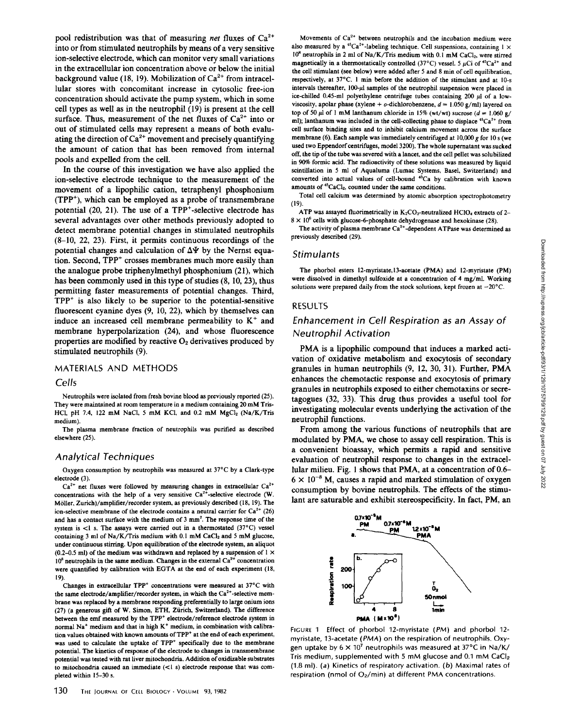pool redistribution was that of measuring *net* fluxes of  $Ca^{2+}$ into or from stimulated neutrophils by means of a very sensitive ion-selective electrode, which can monitor very small variations in the extracellular ion concentration above or below the initial background value (18, 19). Mobilization of  $Ca^{2+}$  from intracellular stores with concomitant increase in cytosolic free-ion concentration should activate the pump system, which in some cell types as well as in the neutrophil (19) is present at the cell surface. Thus, measurement of the net fluxes of  $Ca^{2+}$  into or out of stimulated cells may represent a means of both evaluating the direction of  $Ca^{2+}$  movement and precisely quantifying the amount of cation that has been removed from internal pools and expelled from the cell.

In the course of this investigation we have also applied the ion-selective electrode technique to the measurement of the movement of a lipophilic cation, tetraphenyl phosphonium  $(TPP<sup>+</sup>)$ , which can be employed as a probe of transmembrane potential (20, 21). The use of a TPP<sup>+</sup>-selective electrode has several advantages over other methods previously adopted to detect membrane potential changes in stimulated neutrophils (8-10, 22, 23). First, it permits continuous recordings of the potential changes and calculation of  $\Delta\Psi$  by the Nernst equation. Second, TPP<sup>+</sup> crosses membranes much more easily than the analogue probe triphenylmethyl phosphonium (21), which has been commonly used in this type of studies  $(8, 10, 23)$ , thus permitting faster measurements of potential changes. Third,  $TPP<sup>+</sup>$  is also likely to be superior to the potential-sensitive fluorescent cyanine dyes (9, 10, 22), which by themselves can induce an increased cell membrane permeability to  $K^+$  and membrane hyperpolarization (24), and whose fluorescence properties are modified by reactive  $O<sub>2</sub>$  derivatives produced by stimulated neutrophils (9).

## MATERIALS AND METHODS

#### Cells

Neutrophils were isolated from fresh bovine blood as previously reported (25) . They were maintained at room temperature in <sup>a</sup> medium containing <sup>20</sup> mM Tris-HCl, pH 7.4, 122 mM NaCl, 5 mM KCl, and 0.2 mM  $MgCl<sub>2</sub>$  (Na/K/Tris medium).

The plasma membrane fraction of neutrophils was purified as described elsewhere (25).

# Analytical Techniques

Oxygen consumption by neutrophils was measured at 37'C by a Clark-type electrode (3).

 $Ca^{2+}$  net fluxes were followed by measuring changes in extracellular  $Ca^{2+}$ concentrations with the help of a very sensitive  $Ca^{2+}$ -selective electrode (W. M61ler, Zurich)/amplifier/recorder system, as previously described (18, 19). The ion-selective membrane of the electrode contains a neutral carrier for  $Ca^{2+}$  (26) and has a contact surface with the medium of <sup>3</sup> mm'. The response time of the system is <1 s. The assays were carried out in a thermostated (37°C) vessel containing 3 ml of Na/K/Tris medium with 0.1 mM CaCl<sub>2</sub> and 5 mM glucose, under continuous stirring. Upon equilibration of the electrode system, an aliquot (0.2-0.5 ml) of the medium was withdrawn and replaced by a suspension of  $1 \times$  $10^8$  neutrophils in the same medium. Changes in the external Ca<sup>2+</sup> concentration were quantified by calibration with EGTA at the end of each experiment (18, 19).

Changes in extracellular TPP' concentrations were measured at 37'C with the same electrode/amplifier/recorder system, in which the  $Ca^{2+}$ -selective membrane was replaced by a membrane responding preferentially to large onium ions (27) (a generous gift of W. Simon, ETH, Ziirich, Switzerland) . The difference between the emf measured by the TPP' electrode/reference electrode system in normal Na' medium and that in high K' medium, in combination with calibration values obtained with known amounts of TPP' at the end of each experiment, was used to calculate the uptake of TPP' specifically due to the membrane potential. The kinetics of response of the electrode to changes in transmembrane potential was tested with rat liver mitochondria. Addition of oxidizable substrates to mitochondria caused an immediate (<1 s) electrode response that was completed within 15-30 s.

Movements of  $Ca^{2+}$  between neutrophils and the incubation medium were also measured by a <sup>45</sup>Ca<sup>2+</sup>-labeling technique. Cell suspensions, containing  $1 \times$  $10^8$  neutrophils in 2 ml of Na/K/Tris medium with 0.1 mM CaCl<sub>2</sub>, were stirred magnetically in a thermostatically controlled (37°C) vessel. 5  $\mu$ Ci of <sup>45</sup>Ca<sup>2+</sup> and the cell stimulant (see below) were added after 5 and 8 min of cell equilibration, respectively, at 37°C . <sup>I</sup> min before the addition of the stimulant and at 10-s intervals thereafter,  $100$ - $\mu$ l samples of the neutrophil suspension were placed in ice-chilled 0.45-ml polyethylene centrifuge tubes containing 200  $\mu$ I of a lowviscosity, apolar phase (xylene +  $o$ -dichlorobenzene,  $d = 1.050$  g/ml) layered on top of 50  $\mu$ l of 1 mM lanthanum chloride in 15% (wt/wt) sucrose ( $d = 1.060$  g/ ml); lanthanum was included in the cell-collecting phase to displace <sup>45</sup>Ca<sup>2+</sup> from cell surface binding sites and to inhibit calcium movement across the surface membrane (6). Each sample was immediately centrifuged at  $10,000$  g for  $10$  s (we used two Eppendorf centrifuges, model 3200). The whole supernatant was sucked off, the tipof the tube was severedwith a lancet, and thecell pellet wassolubilized in 90% formic acid. The radioactivity of these solutions was measured by liquid scintillation in 5 ml of Aqualuma (Lumac Systems, Basel, Switzerland) and converted into actual values of cell-bound <sup>45</sup>Ca by calibration with known amounts of <sup>45</sup>CaCl<sub>2</sub>, counted under the same conditions.

Total cell calcium was determined by atomic absorption spectrophotometry  $(19)$ .

ATP was assayed fluorimetrically in  $K_2CO_3$ -neutralized HClO<sub>4</sub> extracts of 2- $8 \times 10^6$  cells with glucose-6-phosphate dehydrogenase and hexokinase (28).

The activity of plasma membrane  $Ca^{2+}$ -dependent ATPase was determined as previously described (29).

### **Stimulants**

The phorbol esters 12-myristate,13-acetate (PMA) and 12-myristate (PM) were dissolved in dimethyl sulfoxide at a concentration of 4 mg/ml. Working solutions were prepared daily from the stock solutions, kept frozen at  $-20^{\circ}$ C.

## **RESULTS**

# Enhancement in Cell Respiration as an Assay of Neutrophil Activation

PMA is <sup>a</sup> lipophilic compound that induces <sup>a</sup> marked activation of oxidative metabolism and exocytosis of secondary granules in human neutrophils (9, 12, 30, 31) . Further, PMA enhances the chemotactic response and exocytosis of primary granules in neutrophils exposed to either chemotaxins or secretagogues (32, 33). This drug thus provides a useful tool for investigating molecular events underlying the activation of the neutrophil functions .

From among the various functions of neutrophils that are modulated by PMA, we chose to assay cell respiration. This is a convenient bioassay, which permits a rapid and sensitive evaluation of neutrophil response to changes in the extracellular milieu. Fig. <sup>1</sup> shows that PMA, at a concentration of 0.6-  $6 \times 10^{-8}$  M, causes a rapid and marked stimulation of oxygen consumption by bovine neutrophils . The effects of the stimulant are saturable and exhibit stereospecificity. In fact, PM, an



FIGURE <sup>1</sup> Effect of phorbol 12-myristate (PM) and phorbol 12 myristate, 13-acetate (PMA) on the respiration of neutrophils. Oxygen uptake by  $6 \times 10^7$  neutrophils was measured at 37°C in Na/K/ Tris medium, supplemented with 5 mM glucose and 0.1 mM  $CaCl<sub>2</sub>$ (1 .8 ml) . (a) Kinetics of respiratory activation . (b) Maximal rates of respiration (nmol of  $O<sub>2</sub>/min$ ) at different PMA concentrations.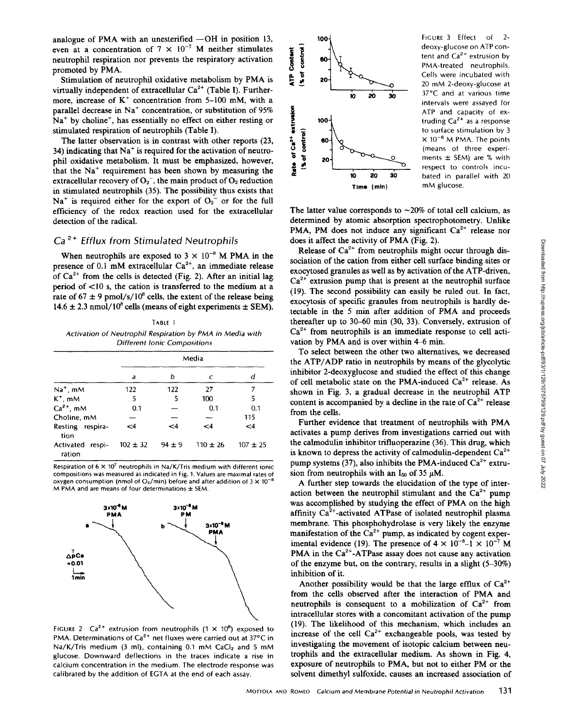analogue of PMA with an unesterified  $-OH$  in position 13, even at a concentration of  $7 \times 10^{-7}$  M neither stimulates neutrophil respiration nor prevents the respiratory activation promoted by PMA.

Stimulation of neutrophil oxidative metabolism by PMA is virtually independent of extracellular  $Ca^{2+}$  (Table I). Furthermore, increase of  $K^+$  concentration from 5-100 mM, with a parallel decrease in Na' concentration, or substitution of 95%  $Na<sup>+</sup>$  by choline<sup>+</sup>, has essentially no effect on either resting or stimulated respiration of neutrophils (Table I).

The latter observation is in contrast with other reports (23, 34) indicating that  $Na<sup>+</sup>$  is required for the activation of neutrophil oxidative metabolism. It must be emphasized, however, that the Na' requirement has been shown by measuring the extracellular recovery of  $O_2^-$ , the main product of  $O_2$  reduction in stimulated neutrophils (35). The possibility thus exists that  $Na<sup>+</sup>$  is required either for the export of  $O<sub>2</sub>$  or for the full efficiency of the redox reaction used for the extracellular detection of the radical.

# $Ca<sup>2+</sup>$  Efflux from Stimulated Neutrophils

When neutrophils are exposed to  $3 \times 10^{-8}$  M PMA in the presence of 0.1 mM extracellular  $Ca^{2+}$ , an immediate release of  $Ca^{2+}$  from the cells is detected (Fig. 2). After an initial lag period of <10 s, the cation is transferred to the medium at a rate of  $67 \pm 9$  pmol/s/ $10^8$  cells, the extent of the release being  $14.6 \pm 2.3$  nmol/ $10^8$  cells (means of eight experiments  $\pm$  SEM).

TABLE <sup>I</sup> Activation of Neutrophil Respiration by PMA in Media with Different Ionic Compositions

|                               | Media         |            |              |              |  |
|-------------------------------|---------------|------------|--------------|--------------|--|
|                               | a             | b          | C            | d            |  |
| $Na+$ , mM                    | 122           | 122        | 27           | 7            |  |
| $K^+$ , mM                    | 5             | 5          | 100          | 5            |  |
| $Ca2+$ , mM                   | 0.1           |            | 0.1          | 0.1          |  |
| Choline, mM                   |               |            |              | 115          |  |
| Resting respira-<br>tion      | $\mathsf{<}4$ | <4         | -4           | $\leq 4$     |  |
| Activated<br>respi-<br>ration | $102 \pm 32$  | $94 \pm 9$ | $110 \pm 26$ | $107 \pm 25$ |  |

Respiration of  $6 \times 10^7$  neutrophils in Na/K/Tris medium with different ionic compositions was measured as indicated in Fig. 1. Values are maximal rates of oxygen consumption (nmol of  $O_2$ /min) before and after addition of  $3 \times 10^{-8}$ M PMA and are means of four determinations  $\pm$  SEM.



FIGURE 2  $Ca^{2+}$  extrusion from neutrophils (1  $\times$  10<sup>8</sup>) exposed to PMA. Determinations of  $Ca^{2+}$  net fluxes were carried out at 37°C in Na/K/Tris medium (3 ml), containing 0.1 mM CaCl<sub>2</sub> and 5 mM glucose. Downward deflections in the traces indicate a rise in calcium concentration in the medium. The electrode response was calibrated by the addition of EGTA at the end of each assay.



FIGURE 3 Effect of 2 deoxy-glucose on ATP content and  $Ca<sup>2+</sup>$  extrusion by PMA-treated neutrophils. Cells were incubated with <sup>20</sup> mM 2-deoxy-glucose at 37°C and at various time intervals were assayed for ATP and capacity of extruding  $Ca<sup>2+</sup>$  as a response to surface stimulation by 3  $\times$  10<sup>-6</sup> M PMA. The points (means of three experiments  $\pm$  SEM) are % with respect to controls incubated in parallel with 20 mM glucose.

The latter value corresponds to  $\sim$ 20% of total cell calcium, as determined by atomic absorption spectrophotometry. Unlike PMA, PM does not induce any significant  $Ca<sup>2+</sup>$  release nor does it affect the activity of PMA (Fig. 2).

Release of  $Ca^{2+}$  from neutrophils might occur through dissociation of the cation from either cell surface binding sites or exocytosed granules as well as by activation of the ATP-driven,  $Ca<sup>2+</sup>$  extrusion pump that is present at the neutrophil surface (19). The second possibility can easily be ruled out. In fact, exocytosis of specific granules from neutrophils is hardly detectable in the <sup>5</sup> min after addition of PMA and proceeds thereafter up to 30-60 min (30, 33) . Conversely, extrusion of  $Ca<sup>2+</sup>$  from neutrophils is an immediate response to cell activation by PMA and is over within 4-6 min.

To select between the other two alternatives, we decreased the ATP/ADP ratio in neutrophils by means of the glycolytic inhibitor 2-deoxyglucose and studied the effect of this change of cell metabolic state on the PMA-induced  $Ca^{2+}$  release. As shown in Fig. 3, <sup>a</sup> gradual decrease in the neutrophil ATP content is accompanied by a decline in the rate of  $Ca^{2+}$  release from the cells .

Further evidence that treatment of neutrophils with PMA activates a pump derives from investigations carried out with the calmodulin inhibitor trifluoperazine (36) . This drug, which is known to depress the activity of calmodulin-dependent  $Ca^{2+}$ pump systems (37), also inhibits the PMA-induced  $Ca^{2+}$  extrusion from neutrophils with an  $I_{50}$  of 35  $\mu$ M.

A further step towards the elucidation of the type of interaction between the neutrophil stimulant and the  $Ca^{2+}$  pump was accomplished by studying the effect of PMA on the high affinity  $Ca^{2+}$ -activated ATPase of isolated neutrophil plasma membrane. This phosphohydrolase is very likely the enzyme manifestation of the  $Ca^{2+}$  pump, as indicated by cogent experimental evidence (19). The presence of  $4 \times 10^{-8}$ –1  $\times 10^{-7}$  M PMA in the  $Ca^{2+}$ -ATPase assay does not cause any activation of the enzyme but, on the contrary, results in a slight (5-30%) inhibition of it.

Another possibility would be that the large efflux of  $Ca^{2+}$ from the cells observed after the interaction of PMA and neutrophils is consequent to a mobilization of  $Ca^{2+}$  from intracellular stores with a concomitant activation of the pump (19) . The likelihood of this mechanism, which includes an increase of the cell  $Ca^{2+}$  exchangeable pools, was tested by investigating the movement of isotopic calcium between neutrophils and the extracellular medium. As shown in Fig. 4, exposure of neutrophils to PMA, but not to either PM or the solvent dimethyl sulfoxide, causes an increased association of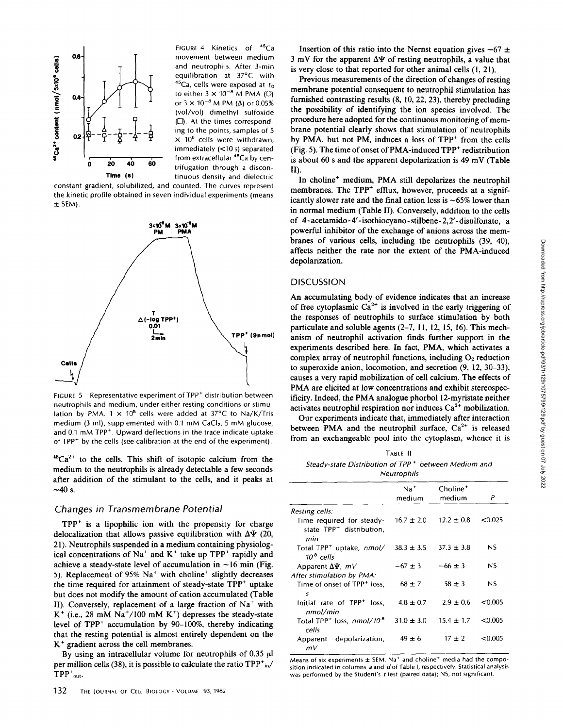

FIGURE 4 Kinetics of <sup>45</sup>Ca movement between medium and neutrophils. After 3-min equilibration at 37°C with  $45$ Ca, cells were exposed at  $t_0$ to either  $3 \times 10^{-8}$  M PMA (O) or  $3 \times 10^{-8}$  M PM ( $\Delta$ ) or 0.05% (vol/vol) dimethyl sulfoxide  $(\Box)$ . At the times corresponding to the points, samples of 5  $\times$  10<sup>6</sup> cells were withdrawn, immediately (<10 s) separated from extracellular <sup>45</sup>Ca by centrifugation through a discontinuous density and dielectric

constant gradient, solubilized, and counted. The curves represent the kinetic profile obtained in seven individual experiments (means  $±$  SEM).



FIGURE 5 Representative experiment of TPP<sup>+</sup> distribution between neutrophils and medium, under either resting conditions or stimulation by PMA.  $1 \times 10^8$  cells were added at 37°C to Na/K/Tris medium (3 ml), supplemented with  $0.1$  mM CaCl<sub>2</sub>, 5 mM glucose, and 0.1 mM TPP<sup>+</sup>. Upward deflections in the trace indicate uptake of TPP<sup>+</sup> by the cells (see calibration at the end of the experiment).

 ${}^{45}Ca^{2+}$  to the cells. This shift of isotopic calcium from the medium to the neutrophils is already detectable a few seconds after addition of the stimulant to the cells, and it peaks at  $\sim$ 40 s.

## Changes in Transmembrane Potential

 $TPP<sup>+</sup>$  is a lipophilic ion with the propensity for charge delocalization that allows passive equilibration with  $\Delta\Psi$  (20, 21) . Neutrophils suspended in a medium containing physiological concentrations of  $Na^+$  and  $K^+$  take up TPP<sup>+</sup> rapidly and achieve a steady-state level of accumulation in  $\sim$  16 min (Fig. 5). Replacement of  $95\%$  Na<sup>+</sup> with choline<sup>+</sup> slightly decreases the time required for attainment of steady-state TPP' uptake but does not modify the amount of cation accumulated (Table II). Conversely, replacement of a large fraction of  $Na<sup>+</sup>$  with  $K^+$  (i.e., 28 mM Na<sup>+</sup>/100 mM K<sup>+</sup>) depresses the steady-state level of TPP' accumulation by 90-100%, thereby indicating that the resting potential is almost entirely dependent on the  $K<sup>+</sup>$  gradient across the cell membranes. 21). Neutrophils suspended in a medium containing physiolog<br>
ical concentrations of Na<sup>2</sup> and K<sup>+</sup> take up TPP<sup>+</sup> rapidly and<br>
achieve a steady-state level of accumulation in ~16 min (Fig.<br>
31. Apparent of 95% Na<sup>2</sup> with

By using an intracellular volume for neutrophils of 0.35  $\mu$ l per million cells (38), it is possible to calculate the ratio  $TPP<sup>+</sup>_{in}/$  $TPP^+_{out}$ .

Insertion of this ratio into the Nernst equation gives  $-67 \pm$ 3 mV for the apparent  $\Delta \Psi$  of resting neutrophils, a value that is very close to that reported for other animal cells (1, 21) .

Previous measurements of the direction of changes of resting membrane potential consequent to neutrophil stimulation has furnished contrasting results (8, 10, 22, 23), thereby precluding the possibility of identifying the ion species involved. The procedure here adopted for the continuous monitoring of membrane potential clearly shows that stimulation of neutrophils by PMA, but not PM, induces a loss of TPP' from the cells (Fig. 5). The time of onset of PMA-induced  $TPP<sup>+</sup>$  redistribution is about <sup>60</sup> <sup>s</sup> and the apparent depolarization is <sup>49</sup> mV (Table II) .

In choline' medium, PMA still depolarizes the neutrophil membranes. The  $TPP^+$  efflux, however, proceeds at a significantly slower rate and the final cation loss is  $\sim65\%$  lower than in normal medium (Table II). Conversely, addition to the cells of 4-acetamido-4'-isothiocyano-stilbene-2,2'-disulfonate, a powerful inhibitor of the exchange of anions across the membranes of various cells, including the neutrophils (39, 40), affects neither the rate nor the extent of the PMA-induced depolarization.

## **DISCUSSION**

An accumulating body of evidence indicates that an increase of free cytoplasmic  $Ca^{2+}$  is involved in the early triggering of the responses of neutrophils to surface stimulation by both particulate and soluble agents (2-7, 11, 12, 15, 16). This mechanism of neutrophil activation finds further support in the experiments described here. In fact, PMA, which activates a complex array of neutrophil functions, including  $O_2$  reduction to superoxide anion, locomotion, and secretion (9, 12, 30-33), causes a very rapid mobilization of cell calcium. The effects of PMA are elicited at low concentrations and exhibit stereospecificity. Indeed, the PMA analogue phorbol 12-myristate neither activates neutrophil respiration nor induces  $Ca<sup>2+</sup>$  mobilization.

Our experiments indicate that, immediately after interaction between PMA and the neutrophil surface,  $Ca^{2+}$  is released from an exchangeable pool into the cytoplasm, whence it is

TABLE II Steady-state Distribution of TPP' between Medium and Neutrophils

|                                                                          | $Na+$<br>medium | Choline <sup>+</sup><br>medium | P       |
|--------------------------------------------------------------------------|-----------------|--------------------------------|---------|
| Resting cells:                                                           |                 |                                |         |
| Time required for steady-<br>state TPP <sup>+</sup> distribution,<br>min | $16.7 \pm 2.0$  | $12.2 \pm 0.8$                 | < 0.025 |
| Total TPP <sup>+</sup> uptake, nmol/<br>$10^8$ cells                     | $38.3 \pm 3.5$  | $37.3 \pm 3.8$                 | ΝS      |
| Apparent $\Delta\Psi$ , $mV$                                             | $-67 \pm 3$     | $-66 \pm 3$                    | NS      |
| After stimulation by PMA:                                                |                 |                                |         |
| Time of onset of TPP <sup>+</sup> loss.<br>5                             | $68 \pm 7$      | $58 \pm 3$                     | NS.     |
| Initial rate of TPP <sup>+</sup> loss.<br>nmol/min                       | $4.8 \pm 0.7$   | $2.9 + 0.6$                    | < 0.005 |
| Total TPP <sup>+</sup> loss, nmol/10 <sup>8</sup><br>cells               | $31.0 \pm 3.0$  | $15.4 \pm 1.7$                 | < 0.005 |
| depolarization,<br>Apparent<br>mV                                        | $49 \pm 6$      | $17 \pm 2$                     | < 0.005 |

Means of six experiments  $\pm$  SEM. Na<sup>+</sup> and choline<sup>+</sup> media had the composition indicated in columns  $a$  and  $d$  of Table I, respectively. Statistical analysis was performed by the Student's <sup>t</sup> test (paired data); NS, not significant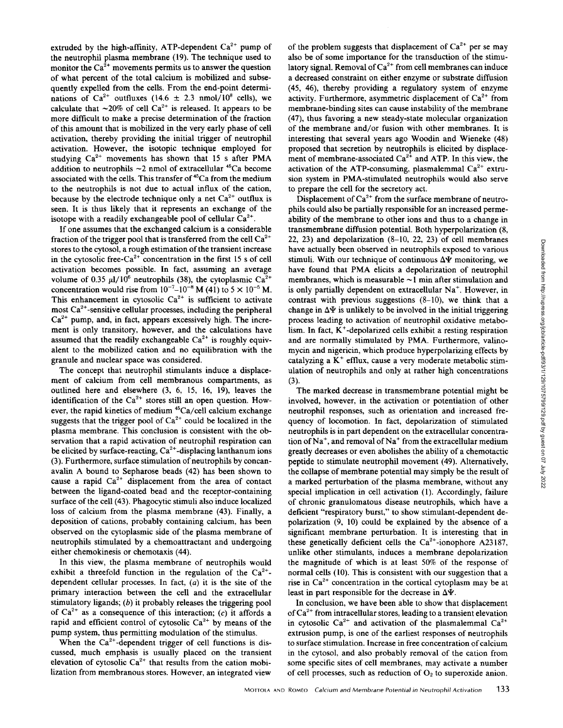extruded by the high-affinity, ATP-dependent  $Ca^{2+}$  pump of the neutrophil plasma membrane (19) . The technique used to monitor the  $Ca^{2+}$  movements permits us to answer the question of what percent of the total calcium is mobilized and subsequently expelled from the cells. From the end-point determinations of  $Ca^{2+}$  outfluxes (14.6  $\pm$  2.3 nmol/10<sup>8</sup> cells), we calculate that  $\sim$ 20% of cell Ca<sup>2+</sup> is released. It appears to be more difficult to make a precise determination of the fraction of this amount that is mobilized in the very early phase of cell activation, thereby providing the initial trigger of neutrophil activation. However, the isotopic technique employed for studying  $Ca^{2+}$  movements has shown that 15 s after PMA addition to neutrophils  $\sim$ 2 nmol of extracellular  $^{45}$ Ca become associated with the cells. This transfer of <sup>45</sup>Ca from the medium to the neutrophils is not due to actual influx of the cation, because by the electrode technique only a net  $Ca^{2+}$  outflux is seen. It is thus likely that it represents an exchange of the isotope with a readily exchangeable pool of cellular  $Ca^{2+}$ .

If one assumes that the exchanged calcium is a considerable fraction of the trigger pool that is transferred from the cell  $Ca^{2+}$ stores to the cytosol, a rough estimation of the transient increase in the cytosolic free-Ca<sup>2+</sup> concentration in the first 15 s of cell activation becomes possible. In fact, assuming an average volume of 0.35  $\mu$ 1/10<sup>6</sup> neutrophils (38), the cytoplasmic Ca<sup>2+</sup> concentration would rise from  $10^{-7}$ - $10^{-8}$  M (41) to 5 ×  $10^{-5}$  M. This enhancement in cytosolic  $Ca<sup>2+</sup>$  is sufficient to activate most  $Ca<sup>2+</sup>$ -sensitive cellular processes, including the peripheral  $Ca<sup>2+</sup>$  pump, and, in fact, appears excessively high. The increment is only transitory, however, and the calculations have assumed that the readily exchangeable  $Ca^{2+}$  is roughly equivalent to the mobilized cation and no equilibration with the granule and nuclear space was considered.

The concept that neutrophil stimulants induce a displacement of calcium from cell membranous compartments, as outlined here and elsewhere (3, 6, 15, 16, 19), leaves the identification of the  $Ca^{2+}$  stores still an open question. However, the rapid kinetics of medium  $45Ca/cell$  calcium exchange suggests that the trigger pool of  $Ca^{2+}$  could be localized in the plasma membrane. This conclusion is consistent with the observation that a rapid activation of neutrophil respiration can be elicited by surface-reacting,  $Ca^{2+}$ -displacing lanthanum ions (3) . Furthermore, surface stimulation of neutrophils by concanavalin A bound to Sepharose beads (42) has been shown to cause a rapid  $Ca<sup>2+</sup>$  displacement from the area of contact between the ligand-coated bead and the receptor-containing surface of the cell (43). Phagocytic stimuli also induce localized loss of calcium from the plasma membrane (43). Finally, a deposition of cations, probably containing calcium, has been observed on the cytoplasmic side of the plasma membrane of neutrophils stimulated by a chemoattractant and undergoing either chemokinesis or chemotaxis (44) .

In this view, the plasma membrane of neutrophils would exhibit a threefold function in the regulation of the  $Ca^{2+}$ dependent cellular processes. In fact,  $(a)$  it is the site of the primary interaction between the cell and the extracellular stimulatory ligands;  $(b)$  it probably releases the triggering pool of  $Ca^{2+}$  as a consequence of this interaction; (c) it affords a rapid and efficient control of cytosolic  $Ca^{2+}$  by means of the pump system, thus permitting modulation of the stimulus.

When the  $Ca^{2+}$ -dependent trigger of cell functions is discussed, much emphasis is usually placed on the transient elevation of cytosolic  $Ca^{2+}$  that results from the cation mobilization from membranous stores. However, an integrated view

of the problem suggests that displacement of  $Ca^{2+}$  per se may also be of some importance for the transduction of the stimulatory signal. Removal of  $Ca^{2+}$  from cell membranes can induce a decreased constraint on either enzyme or substrate diffusion (45, 46), thereby providing a regulatory system of enzyme activity. Furthermore, asymmetric displacement of  $Ca^{2+}$  from membrane-binding sites can cause instability of the membrane (47), thus favoring a new steady-state molecular organization of the membrane and/or fusion with other membranes. It is interesting that several years ago Woodin and Wieneke (48) proposed that secretion by neutrophils is elicited by displacement of membrane-associated  $Ca<sup>2+</sup>$  and ATP. In this view, the activation of the ATP-consuming, plasmalemmal  $Ca^{2+}$  extrusion system in PMA-stimulated neutrophils would also serve to prepare the cell for the secretory act.

Displacement of  $Ca^{2+}$  from the surface membrane of neutrophils could also be partially responsible for an increased permeability of the membrane to other ions and thus to a change in transmembrane diffusion potential. Both hyperpolarization (8, 22, 23) and depolarization (8-10, 22, 23) of cell membranes have actually been observed in neutrophils exposed to various stimuli. With our technique of continuous  $\Delta \Psi$  monitoring, we have found that PMA elicits <sup>a</sup> depolarization of neutrophil membranes, which is measurable  $\sim$ 1 min after stimulation and is only partially dependent on extracellular Na'. However, in contrast with previous suggestions (8-10), we think that a change in  $\Delta \Psi$  is unlikely to be involved in the initial triggering process leading to activation of neutrophil oxidative metabolism. In fact,  $K^+$ -depolarized cells exhibit a resting respiration and are normally stimulated by PMA. Furthermore, valinomycin and nigericin, which produce hyperpolarizing effects by catalyzing a  $K^+$  efflux, cause a very moderate metabolic stimulation of neutrophils and only at rather high concentrations  $(3)$ .

The marked decrease in transmembrane potential might be involved, however, in the activation or potentiation of other neutrophil responses, such as orientation and increased frequency of locomotion. In fact, depolarization of stimulated neutrophils is in part dependent on the extracellular concentration of  $Na<sup>+</sup>$ , and removal of  $Na<sup>+</sup>$  from the extracellular medium greatly decreases or even abolishes the ability of a chemotactic peptide to stimulate neutrophil movement (49). Alternatively, the collapse of membrane potential may simply be the result of a marked perturbation of the plasma membrane, without any special implication in cell activation (1) . Accordingly, failure of chronic granulomatous disease neutrophils, which have a deficient "respiratory burst," to show stimulant-dependent depolarization (9, 10) could be explained by the absence of a significant membrane perturbation. It is interesting that in these genetically deficient cells the  $Ca^{2+}$ -ionophore A23187, unlike other stimulants, induces a membrane depolarization the magnitude of which is at least 50% of the response of normal cells (10). This is consistent with our suggestion that a rise in  $Ca^{2+}$  concentration in the cortical cytoplasm may be at least in part responsible for the decrease in  $\Delta \Psi$ .

In conclusion, we have been able to show that displacement of  $Ca^{2+}$  from intracellular stores, leading to a transient elevation in cytosolic  $Ca^{2+}$  and activation of the plasmalemmal  $Ca^{2+}$ extrusion pump, is one of the earliest responses of neutrophils to surface stimulation. Increase in free concentration of calcium in the cytosol, and also probably removal of the cation from some specific sites of cell membranes, may activate a number of cell processes, such as reduction of  $O<sub>2</sub>$  to superoxide anion.